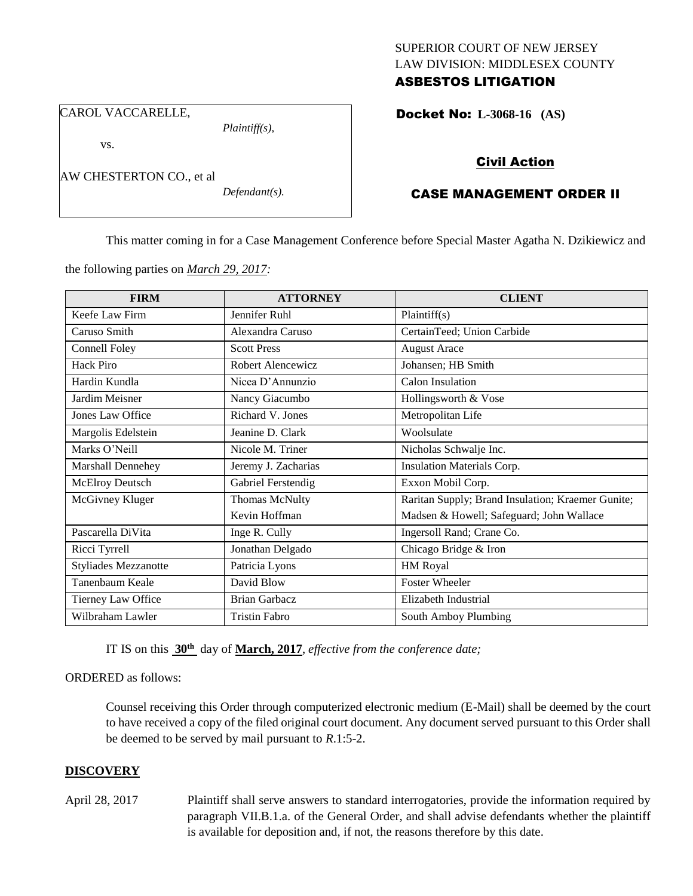## SUPERIOR COURT OF NEW JERSEY LAW DIVISION: MIDDLESEX COUNTY ASBESTOS LITIGATION

CAROL VACCARELLE,

*Plaintiff(s),*

vs.

AW CHESTERTON CO., et al

*Defendant(s).*

Docket No: **L-3068-16 (AS)** 

# Civil Action

# CASE MANAGEMENT ORDER II

This matter coming in for a Case Management Conference before Special Master Agatha N. Dzikiewicz and

the following parties on *March 29, 2017:*

| <b>FIRM</b>                 | <b>ATTORNEY</b>       | <b>CLIENT</b>                                     |
|-----------------------------|-----------------------|---------------------------------------------------|
| Keefe Law Firm              | Jennifer Ruhl         | Plaintiff(s)                                      |
| Caruso Smith                | Alexandra Caruso      | CertainTeed; Union Carbide                        |
| <b>Connell Foley</b>        | <b>Scott Press</b>    | <b>August Arace</b>                               |
| <b>Hack Piro</b>            | Robert Alencewicz     | Johansen; HB Smith                                |
| Hardin Kundla               | Nicea D'Annunzio      | <b>Calon Insulation</b>                           |
| Jardim Meisner              | Nancy Giacumbo        | Hollingsworth & Vose                              |
| Jones Law Office            | Richard V. Jones      | Metropolitan Life                                 |
| Margolis Edelstein          | Jeanine D. Clark      | Woolsulate                                        |
| Marks O'Neill               | Nicole M. Triner      | Nicholas Schwalje Inc.                            |
| Marshall Dennehey           | Jeremy J. Zacharias   | Insulation Materials Corp.                        |
| McElroy Deutsch             | Gabriel Ferstendig    | Exxon Mobil Corp.                                 |
| McGivney Kluger             | <b>Thomas McNulty</b> | Raritan Supply; Brand Insulation; Kraemer Gunite; |
|                             | Kevin Hoffman         | Madsen & Howell; Safeguard; John Wallace          |
| Pascarella DiVita           | Inge R. Cully         | Ingersoll Rand; Crane Co.                         |
| Ricci Tyrrell               | Jonathan Delgado      | Chicago Bridge & Iron                             |
| <b>Styliades Mezzanotte</b> | Patricia Lyons        | HM Royal                                          |
| Tanenbaum Keale             | David Blow            | <b>Foster Wheeler</b>                             |
| Tierney Law Office          | <b>Brian Garbacz</b>  | Elizabeth Industrial                              |
| Wilbraham Lawler            | <b>Tristin Fabro</b>  | South Amboy Plumbing                              |

IT IS on this  $30^{\text{th}}$  day of March, 2017, *effective from the conference date*;

ORDERED as follows:

Counsel receiving this Order through computerized electronic medium (E-Mail) shall be deemed by the court to have received a copy of the filed original court document. Any document served pursuant to this Order shall be deemed to be served by mail pursuant to *R*.1:5-2.

## **DISCOVERY**

April 28, 2017 Plaintiff shall serve answers to standard interrogatories, provide the information required by paragraph VII.B.1.a. of the General Order, and shall advise defendants whether the plaintiff is available for deposition and, if not, the reasons therefore by this date.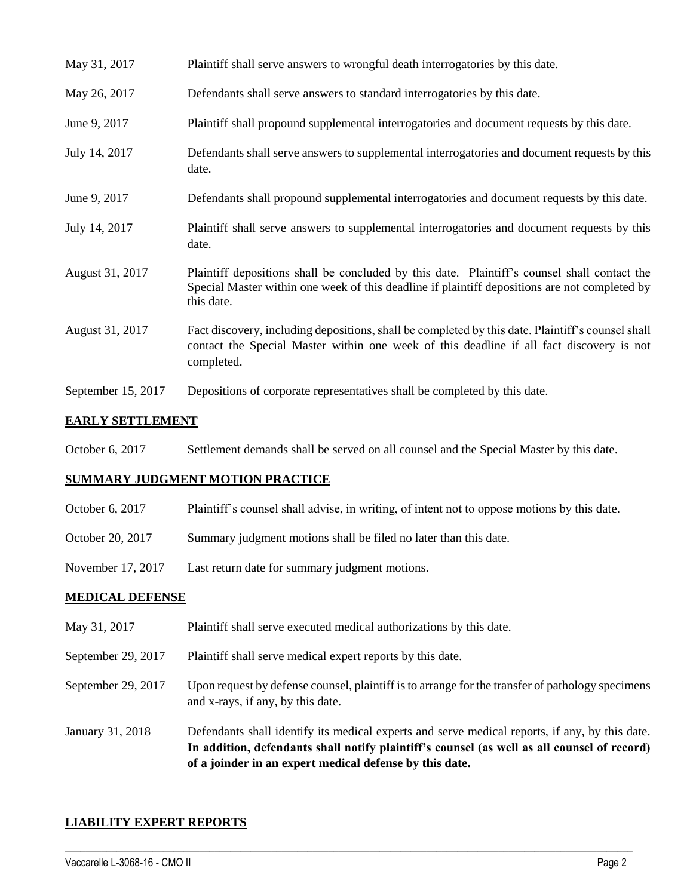| May 31, 2017       | Plaintiff shall serve answers to wrongful death interrogatories by this date.                                                                                                                               |
|--------------------|-------------------------------------------------------------------------------------------------------------------------------------------------------------------------------------------------------------|
| May 26, 2017       | Defendants shall serve answers to standard interrogatories by this date.                                                                                                                                    |
| June 9, 2017       | Plaintiff shall propound supplemental interrogatories and document requests by this date.                                                                                                                   |
| July 14, 2017      | Defendants shall serve answers to supplemental interrogatories and document requests by this<br>date.                                                                                                       |
| June 9, 2017       | Defendants shall propound supplemental interrogatories and document requests by this date.                                                                                                                  |
| July 14, 2017      | Plaintiff shall serve answers to supplemental interrogatories and document requests by this<br>date.                                                                                                        |
| August 31, 2017    | Plaintiff depositions shall be concluded by this date. Plaintiff's counsel shall contact the<br>Special Master within one week of this deadline if plaintiff depositions are not completed by<br>this date. |
| August 31, 2017    | Fact discovery, including depositions, shall be completed by this date. Plaintiff's counsel shall<br>contact the Special Master within one week of this deadline if all fact discovery is not<br>completed. |
| September 15, 2017 | Depositions of corporate representatives shall be completed by this date.                                                                                                                                   |

### **EARLY SETTLEMENT**

October 6, 2017 Settlement demands shall be served on all counsel and the Special Master by this date.

## **SUMMARY JUDGMENT MOTION PRACTICE**

- October 6, 2017 Plaintiff's counsel shall advise, in writing, of intent not to oppose motions by this date.
- October 20, 2017 Summary judgment motions shall be filed no later than this date.
- November 17, 2017 Last return date for summary judgment motions.

#### **MEDICAL DEFENSE**

- May 31, 2017 Plaintiff shall serve executed medical authorizations by this date.
- September 29, 2017 Plaintiff shall serve medical expert reports by this date.
- September 29, 2017 Upon request by defense counsel, plaintiff is to arrange for the transfer of pathology specimens and x-rays, if any, by this date.
- January 31, 2018 Defendants shall identify its medical experts and serve medical reports, if any, by this date. **In addition, defendants shall notify plaintiff's counsel (as well as all counsel of record) of a joinder in an expert medical defense by this date.**

 $\_$  ,  $\_$  ,  $\_$  ,  $\_$  ,  $\_$  ,  $\_$  ,  $\_$  ,  $\_$  ,  $\_$  ,  $\_$  ,  $\_$  ,  $\_$  ,  $\_$  ,  $\_$  ,  $\_$  ,  $\_$  ,  $\_$  ,  $\_$  ,  $\_$  ,  $\_$  ,  $\_$  ,  $\_$  ,  $\_$  ,  $\_$  ,  $\_$  ,  $\_$  ,  $\_$  ,  $\_$  ,  $\_$  ,  $\_$  ,  $\_$  ,  $\_$  ,  $\_$  ,  $\_$  ,  $\_$  ,  $\_$  ,  $\_$  ,

#### **LIABILITY EXPERT REPORTS**